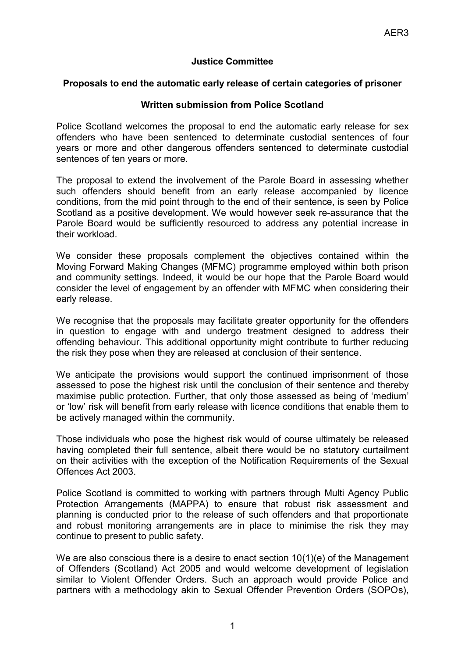## **Justice Committee**

## **Proposals to end the automatic early release of certain categories of prisoner**

## **Written submission from Police Scotland**

Police Scotland welcomes the proposal to end the automatic early release for sex offenders who have been sentenced to determinate custodial sentences of four years or more and other dangerous offenders sentenced to determinate custodial sentences of ten years or more.

The proposal to extend the involvement of the Parole Board in assessing whether such offenders should benefit from an early release accompanied by licence conditions, from the mid point through to the end of their sentence, is seen by Police Scotland as a positive development. We would however seek re-assurance that the Parole Board would be sufficiently resourced to address any potential increase in their workload.

We consider these proposals complement the objectives contained within the Moving Forward Making Changes (MFMC) programme employed within both prison and community settings. Indeed, it would be our hope that the Parole Board would consider the level of engagement by an offender with MFMC when considering their early release.

We recognise that the proposals may facilitate greater opportunity for the offenders in question to engage with and undergo treatment designed to address their offending behaviour. This additional opportunity might contribute to further reducing the risk they pose when they are released at conclusion of their sentence.

We anticipate the provisions would support the continued imprisonment of those assessed to pose the highest risk until the conclusion of their sentence and thereby maximise public protection. Further, that only those assessed as being of 'medium' or 'low' risk will benefit from early release with licence conditions that enable them to be actively managed within the community.

Those individuals who pose the highest risk would of course ultimately be released having completed their full sentence, albeit there would be no statutory curtailment on their activities with the exception of the Notification Requirements of the Sexual Offences Act 2003.

Police Scotland is committed to working with partners through Multi Agency Public Protection Arrangements (MAPPA) to ensure that robust risk assessment and planning is conducted prior to the release of such offenders and that proportionate and robust monitoring arrangements are in place to minimise the risk they may continue to present to public safety.

We are also conscious there is a desire to enact section  $10(1)(e)$  of the Management of Offenders (Scotland) Act 2005 and would welcome development of legislation similar to Violent Offender Orders. Such an approach would provide Police and partners with a methodology akin to Sexual Offender Prevention Orders (SOPOs),